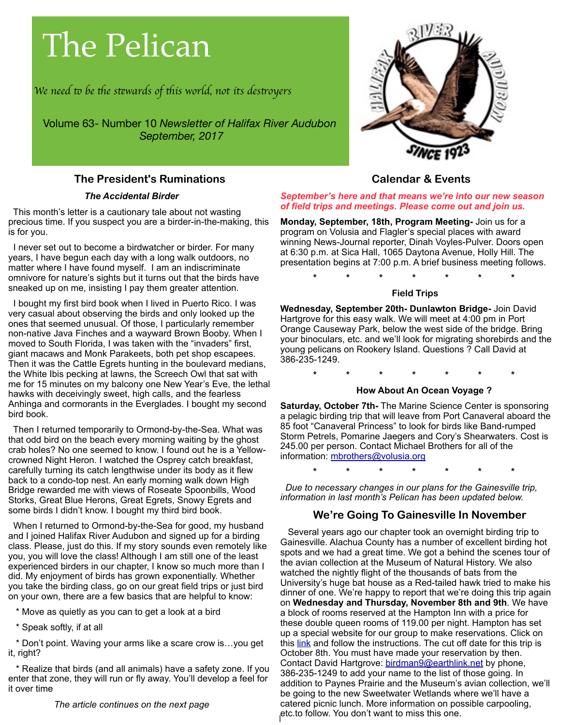# The Pelican

*We need* t *be* t*e s*t*wards of* t*is world, not its des*t*oyers*

Volume 63- Number 10 *Newsletter of Halifax River Audubon September, 2017*

# **The President's Ruminations**

#### *The Accidental Birder*

 This month's letter is a cautionary tale about not wasting precious time. If you suspect you are a birder-in-the-making, this is for you.

 I never set out to become a birdwatcher or birder. For many years, I have begun each day with a long walk outdoors, no matter where I have found myself. I am an indiscriminate omnivore for nature's sights but it turns out that the birds have sneaked up on me, insisting I pay them greater attention.

 I bought my first bird book when I lived in Puerto Rico. I was very casual about observing the birds and only looked up the ones that seemed unusual. Of those, I particularly remember non-native Java Finches and a wayward Brown Booby. When I moved to South Florida, I was taken with the "invaders" first, giant macaws and Monk Parakeets, both pet shop escapees. Then it was the Cattle Egrets hunting in the boulevard medians, the White Ibis pecking at lawns, the Screech Owl that sat with me for 15 minutes on my balcony one New Year's Eve, the lethal hawks with deceivingly sweet, high calls, and the fearless Anhinga and cormorants in the Everglades. I bought my second bird book.

 Then I returned temporarily to Ormond-by-the-Sea. What was that odd bird on the beach every morning waiting by the ghost crab holes? No one seemed to know. I found out he is a Yellowcrowned Night Heron. I watched the Osprey catch breakfast, carefully turning its catch lengthwise under its body as it flew back to a condo-top nest. An early morning walk down High Bridge rewarded me with views of Roseate Spoonbills, Wood Storks, Great Blue Herons, Great Egrets, Snowy Egrets and some birds I didn't know. I bought my third bird book.

 When I returned to Ormond-by-the-Sea for good, my husband and I joined Halifax River Audubon and signed up for a birding class. Please, just do this. If my story sounds even remotely like you, you will love the class! Although I am still one of the least experienced birders in our chapter, I know so much more than I did. My enjoyment of birds has grown exponentially. Whether you take the birding class, go on our great field trips or just bird on your own, there are a few basics that are helpful to know:

\* Move as quietly as you can to get a look at a bird

\* Speak softly, if at all

Don't point. Waving your arms like a scare crow is...you get it, right?

 \* Realize that birds (and all animals) have a safety zone. If you enter that zone, they will run or fly away. You'll develop a feel for it over time

*The article continues on the next page*



# **Calendar & Events**

*September's here and that means we're into our new season of field trips and meetings. Please come out and join us.*

**Monday, September, 18th, Program Meeting-** Join us for a program on Volusia and Flagler's special places with award winning News-Journal reporter, Dinah Voyles-Pulver. Doors open at 6:30 p.m. at Sica Hall, 1065 Daytona Avenue, Holly Hill. The presentation begins at 7:00 p.m. A brief business meeting follows.

**\* \* \* \* \* \* \***

#### **Field Trips**

**Wednesday, September 20th- Dunlawton Bridge-** Join David Hartgrove for this easy walk. We will meet at 4:00 pm in Port Orange Causeway Park, below the west side of the bridge. Bring your binoculars, etc. and we'll look for migrating shorebirds and the young pelicans on Rookery Island. Questions ? Call David at 386-235-1249.

**\* \* \* \* \* \* \*** 

## **How About An Ocean Voyage ?**

**Saturday, October 7th-** The Marine Science Center is sponsoring a pelagic birding trip that will leave from Port Canaveral aboard the 85 foot "Canaveral Princess" to look for birds like Band-rumped Storm Petrels, Pomarine Jaegers and Cory's Shearwaters. Cost is 245.00 per person. Contact Michael Brothers for all of the information: [mbrothers@volusia.org](mailto:mbrothers@volusia.org)

**\* \* \* \* \* \* \***

 *Due to necessary changes in our plans for the Gainesville trip, information in last month's Pelican has been updated below.*

# **We're Going To Gainesville In November**

1 etc.to follow. You don't want to miss this one. Several years ago our chapter took an overnight birding trip to Gainesville. Alachua County has a number of excellent birding hot spots and we had a great time. We got a behind the scenes tour of the avian collection at the Museum of Natural History. We also watched the nightly flight of the thousands of bats from the University's huge bat house as a Red-tailed hawk tried to make his dinner of one. We're happy to report that we're doing this trip again on **Wednesday and Thursday, November 8th and 9th**. We have a block of rooms reserved at the Hampton Inn with a price for these double queen rooms of 119.00 per night. Hampton has set up a special website for our group to make reservations. Click on this [link](http://hamptoninn.hilton.com/en/hp/groups/personalized/G/GNVFLHX-HRA-20171108/index.jhtml?WT.mc_id=POG) and follow the instructions. The cut off date for this trip is October 8th. You must have made your reservation by then. Contact David Hartgrove: [birdman9@earthlink.net](mailto:birdman9@earthlink.net) by phone, 386-235-1249 to add your name to the list of those going. In addition to Paynes Prairie and the Museum's avian collection, we'll be going to the new Sweetwater Wetlands where we'll have a catered picnic lunch. More information on possible carpooling,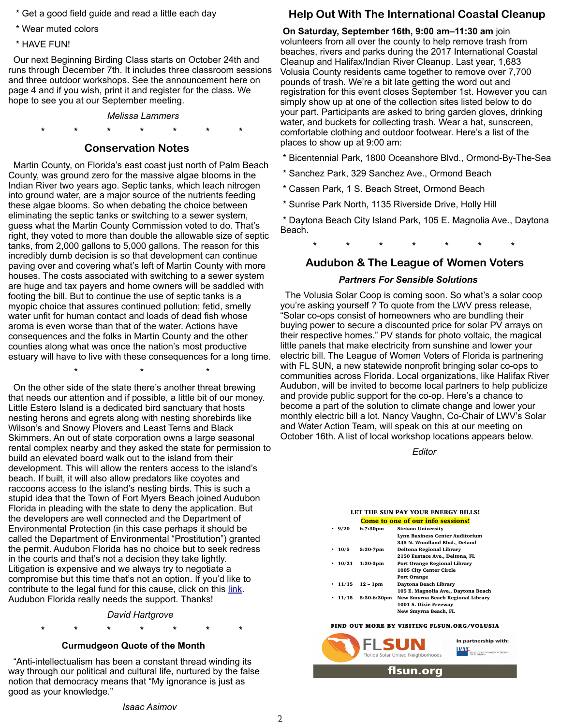- \* Get a good field guide and read a little each day
- \* Wear muted colors
- \* HAVE FUN!

 Our next Beginning Birding Class starts on October 24th and runs through December 7th. It includes three classroom sessions and three outdoor workshops. See the announcement here on page 4 and if you wish, print it and register for the class. We hope to see you at our September meeting.

*Melissa Lammers*

#### **\* \* \* \* \* \* \***

#### **Conservation Notes**

 Martin County, on Florida's east coast just north of Palm Beach County, was ground zero for the massive algae blooms in the Indian River two years ago. Septic tanks, which leach nitrogen into ground water, are a major source of the nutrients feeding these algae blooms. So when debating the choice between eliminating the septic tanks or switching to a sewer system, guess what the Martin County Commission voted to do. That's right, they voted to more than double the allowable size of septic tanks, from 2,000 gallons to 5,000 gallons. The reason for this incredibly dumb decision is so that development can continue paving over and covering what's left of Martin County with more houses. The costs associated with switching to a sewer system are huge and tax payers and home owners will be saddled with footing the bill. But to continue the use of septic tanks is a myopic choice that assures continued pollution; fetid, smelly water unfit for human contact and loads of dead fish whose aroma is even worse than that of the water. Actions have consequences and the folks in Martin County and the other counties along what was once the nation's most productive estuary will have to live with these consequences for a long time.

 On the other side of the state there's another threat brewing that needs our attention and if possible, a little bit of our money. Little Estero Island is a dedicated bird sanctuary that hosts nesting herons and egrets along with nesting shorebirds like Wilson's and Snowy Plovers and Least Terns and Black Skimmers. An out of state corporation owns a large seasonal rental complex nearby and they asked the state for permission to build an elevated board walk out to the island from their development. This will allow the renters access to the island's beach. If built, it will also allow predators like coyotes and raccoons access to the island's nesting birds. This is such a stupid idea that the Town of Fort Myers Beach joined Audubon Florida in pleading with the state to deny the application. But the developers are well connected and the Department of Environmental Protection (in this case perhaps it should be called the Department of Environmental "Prostitution") granted the permit. Audubon Florida has no choice but to seek redress in the courts and that's not a decision they take lightly. Litigation is expensive and we always try to negotiate a compromise but this time that's not an option. If you'd like to contribute to the legal fund for this cause, click on this [link](https://act.audubon.org/onlineactions/_w9Zuafxa06IoxUNCboAZA2). Audubon Florida really needs the support. Thanks!

 $\star$   $\star$   $\star$   $\star$ 

# *David Hartgrove* **\* \* \* \* \* \* \***

#### **Curmudgeon Quote of the Month**

 "Anti-intellectualism has been a constant thread winding its way through our political and cultural life, nurtured by the false notion that democracy means that "My ignorance is just as good as your knowledge."

*Isaac Asimov*

# **Help Out With The International Coastal Cleanup**

**On Saturday, September 16th, 9:00 am–11:30 am** join volunteers from all over the county to help remove trash from beaches, rivers and parks during the 2017 International Coastal Cleanup and Halifax/Indian River Cleanup. Last year, 1,683 Volusia County residents came together to remove over 7,700 pounds of trash. We're a bit late getting the word out and registration for this event closes September 1st. However you can simply show up at one of the collection sites listed below to do your part. Participants are asked to bring garden gloves, drinking water, and buckets for collecting trash. Wear a hat, sunscreen, comfortable clothing and outdoor footwear. Here's a list of the places to show up at 9:00 am:

- \* Bicentennial Park, 1800 Oceanshore Blvd., Ormond-By-The-Sea
- \* Sanchez Park, 329 Sanchez Ave., Ormond Beach
- \* Cassen Park, 1 S. Beach Street, Ormond Beach
- \* Sunrise Park North, 1135 Riverside Drive, Holly Hill

 \* Daytona Beach City Island Park, 105 E. Magnolia Ave., Daytona Beach.

**\* \* \* \* \* \* \***

## **Audubon & The League of Women Voters**

#### *Partners For Sensible Solutions*

 The Volusia Solar Coop is coming soon. So what's a solar coop you're asking yourself ? To quote from the LWV press release, "Solar co-ops consist of homeowners who are bundling their buying power to secure a discounted price for solar PV arrays on their respective homes." PV stands for photo voltaic, the magical little panels that make electricity from sunshine and lower your electric bill. The League of Women Voters of Florida is partnering with FL SUN, a new statewide nonprofit bringing solar co-ops to communities across Florida. Local organizations, like Halifax River Audubon, will be invited to become local partners to help publicize and provide public support for the co-op. Here's a chance to become a part of the solution to climate change and lower your monthly electric bill a lot. Nancy Vaughn, Co-Chair of LWV's Solar and Water Action Team, will speak on this at our meeting on October 16th. A list of local workshop locations appears below.

#### *Editor*

#### LET THE SUN PAY YOUR ENERGY BILLS!

|               | <b>Come to one of our info sessions!</b> |                                     |  |  |  |
|---------------|------------------------------------------|-------------------------------------|--|--|--|
| 9/20          | 6-7:30pm                                 | <b>Stetson University</b>           |  |  |  |
|               |                                          | Lynn Business Center Auditorium     |  |  |  |
|               |                                          | 345 N. Woodland Blvd., Deland       |  |  |  |
| 10/5          | 5:30-7pm                                 | Deltona Regional Library            |  |  |  |
|               |                                          | 2150 Eustace Ave., Deltona, FL      |  |  |  |
| 10/21         | $1:30-3pm$                               | Port Orange Regional Library        |  |  |  |
|               |                                          | 1005 City Center Circle             |  |  |  |
|               |                                          | <b>Port Orange</b>                  |  |  |  |
| $\cdot$ 11/15 | $12 - 1pm$                               | Davtona Beach Library               |  |  |  |
|               |                                          | 105 E. Magnolia Ave., Daytona Beach |  |  |  |
| 11/15         | 5:30-6:30pm                              | New Smyrna Beach Regional Library   |  |  |  |
|               |                                          | <b>1001 S. Dixie Freeway</b>        |  |  |  |
|               |                                          | New Smyrna Beach. FL                |  |  |  |

#### FIND OUT MORE BY VISITING FLSUN.ORG/VOLUSIA



2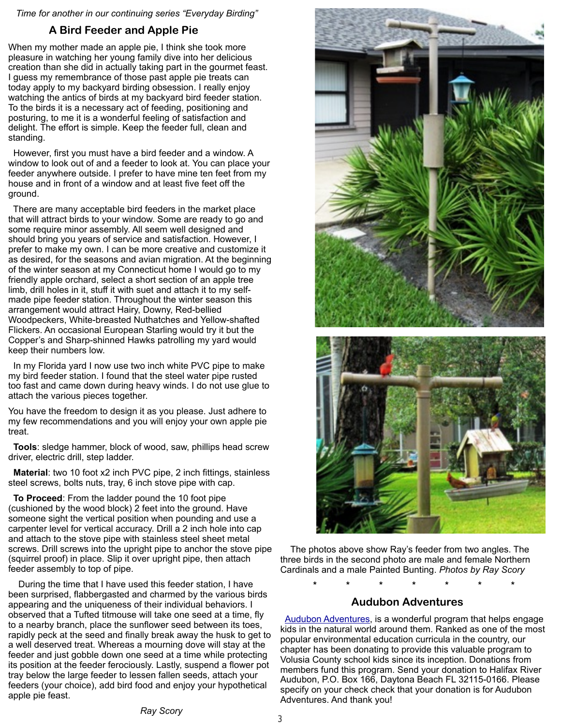*Time for another in our continuing series "Everyday Birding"*

# **A Bird Feeder and Apple Pie**

When my mother made an apple pie, I think she took more pleasure in watching her young family dive into her delicious creation than she did in actually taking part in the gourmet feast. I guess my remembrance of those past apple pie treats can today apply to my backyard birding obsession. I really enjoy watching the antics of birds at my backyard bird feeder station. To the birds it is a necessary act of feeding, positioning and posturing, to me it is a wonderful feeling of satisfaction and delight. The effort is simple. Keep the feeder full, clean and standing.

 However, first you must have a bird feeder and a window. A window to look out of and a feeder to look at. You can place your feeder anywhere outside. I prefer to have mine ten feet from my house and in front of a window and at least five feet off the ground.

 There are many acceptable bird feeders in the market place that will attract birds to your window. Some are ready to go and some require minor assembly. All seem well designed and should bring you years of service and satisfaction. However, I prefer to make my own. I can be more creative and customize it as desired, for the seasons and avian migration. At the beginning of the winter season at my Connecticut home I would go to my friendly apple orchard, select a short section of an apple tree limb, drill holes in it, stuff it with suet and attach it to my selfmade pipe feeder station. Throughout the winter season this arrangement would attract Hairy, Downy, Red-bellied Woodpeckers, White-breasted Nuthatches and Yellow-shafted Flickers. An occasional European Starling would try it but the Copper's and Sharp-shinned Hawks patrolling my yard would keep their numbers low.

 In my Florida yard I now use two inch white PVC pipe to make my bird feeder station. I found that the steel water pipe rusted too fast and came down during heavy winds. I do not use glue to attach the various pieces together.

You have the freedom to design it as you please. Just adhere to my few recommendations and you will enjoy your own apple pie treat.

 **Tools**: sledge hammer, block of wood, saw, phillips head screw driver, electric drill, step ladder.

 **Material**: two 10 foot x2 inch PVC pipe, 2 inch fittings, stainless steel screws, bolts nuts, tray, 6 inch stove pipe with cap.

 **To Proceed**: From the ladder pound the 10 foot pipe (cushioned by the wood block) 2 feet into the ground. Have someone sight the vertical position when pounding and use a carpenter level for vertical accuracy. Drill a 2 inch hole into cap and attach to the stove pipe with stainless steel sheet metal screws. Drill screws into the upright pipe to anchor the stove pipe (squirrel proof) in place. Slip it over upright pipe, then attach feeder assembly to top of pipe.

 During the time that I have used this feeder station, I have been surprised, flabbergasted and charmed by the various birds appearing and the uniqueness of their individual behaviors. I observed that a Tufted titmouse will take one seed at a time, fly to a nearby branch, place the sunflower seed between its toes, rapidly peck at the seed and finally break away the husk to get to a well deserved treat. Whereas a mourning dove will stay at the feeder and just gobble down one seed at a time while protecting its position at the feeder ferociously. Lastly, suspend a flower pot tray below the large feeder to lessen fallen seeds, attach your feeders (your choice), add bird food and enjoy your hypothetical apple pie feast.



 The photos above show Ray's feeder from two angles. The three birds in the second photo are male and female Northern Cardinals and a male Painted Bunting. *Photos by Ray Scory*

# **\* \* \* \* \* \* \* Audubon Adventures**

 [Audubon Adventures,](http://www.audubon.org/conservation/audubon-adventures) is a wonderful program that helps engage kids in the natural world around them. Ranked as one of the most popular environmental education curricula in the country, our chapter has been donating to provide this valuable program to Volusia County school kids since its inception. Donations from members fund this program. Send your donation to Halifax River Audubon, P.O. Box 166, Daytona Beach FL 32115-0166. Please specify on your check check that your donation is for Audubon Adventures. And thank you!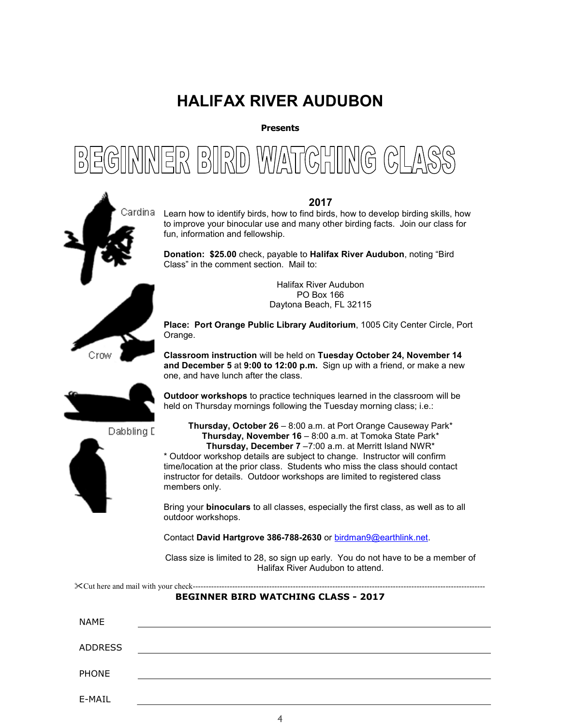# **HALIFAX RIVER AUDUBON**

**Presents** 





#### **2017**

Learn how to identify birds, how to find birds, how to develop birding skills, how to improve your binocular use and many other birding facts. Join our class for fun, information and fellowship.

**Donation: \$25.00** check, payable to **Halifax River Audubon**, noting "Bird Class" in the comment section. Mail to:

> Halifax River Audubon PO Box 166 Daytona Beach, FL 32115

**Place: Port Orange Public Library Auditorium**, 1005 City Center Circle, Port Orange.

**Classroom instruction** will be held on **Tuesday October 24, November 14 and December 5** at **9:00 to 12:00 p.m.** Sign up with a friend, or make a new one, and have lunch after the class.

**Outdoor workshops** to practice techniques learned in the classroom will be held on Thursday mornings following the Tuesday morning class; i.e.:





**Thursday, October 26** – 8:00 a.m. at Port Orange Causeway Park\* **Thursday, November 16** – 8:00 a.m. at Tomoka State Park\* **Thursday, December 7** –7:00 a.m. at Merritt Island NWR\* \* Outdoor workshop details are subject to change. Instructor will confirm time/location at the prior class. Students who miss the class should contact instructor for details. Outdoor workshops are limited to registered class members only.

Bring your **binoculars** to all classes, especially the first class, as well as to all outdoor workshops.

Contact **David Hartgrove 386-788-2630** or birdman9@earthlink.net.

Class size is limited to 28, so sign up early. You do not have to be a member of Halifax River Audubon to attend.

Cut here and mail with your check---------------------------------------------------------------------------------------------------------------

#### **BEGINNER BIRD WATCHING CLASS - 2017**

| <b>NAME</b>    |  |  |  |
|----------------|--|--|--|
| <b>ADDRESS</b> |  |  |  |
|                |  |  |  |
| PHONE          |  |  |  |
| E-MAIL         |  |  |  |